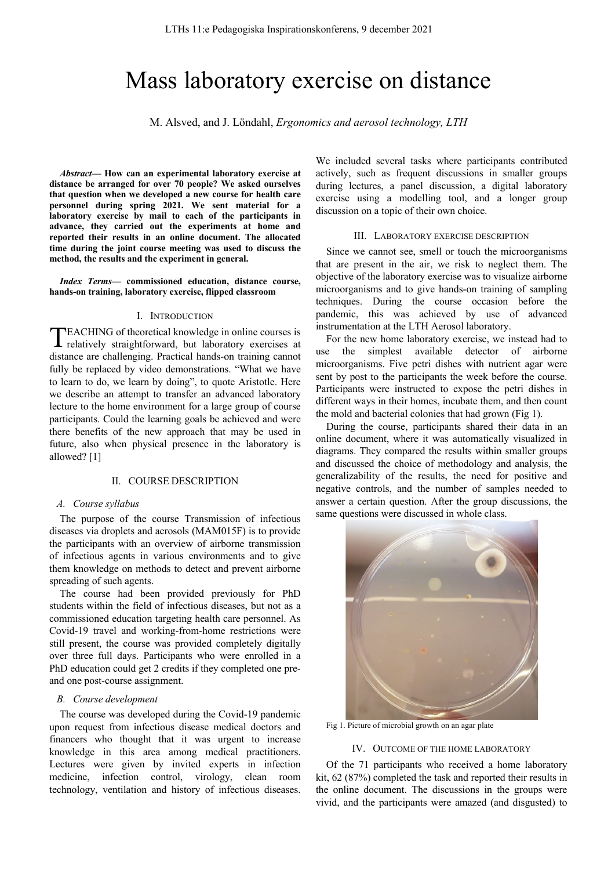# Mass laboratory exercise on distance

M. Alsved, and J. Löndahl, *Ergonomics and aerosol technology, LTH*

*Abstract***— How can an experimental laboratory exercise at distance be arranged for over 70 people? We asked ourselves that question when we developed a new course for health care personnel during spring 2021. We sent material for a laboratory exercise by mail to each of the participants in advance, they carried out the experiments at home and reported their results in an online document. The allocated time during the joint course meeting was used to discuss the method, the results and the experiment in general.**

*Index Terms***— commissioned education, distance course, hands-on training, laboratory exercise, flipped classroom**

# I. INTRODUCTION

EACHING of theoretical knowledge in online courses is TEACHING of theoretical knowledge in online courses is relatively straightforward, but laboratory exercises at distance are challenging. Practical hands-on training cannot fully be replaced by video demonstrations. "What we have to learn to do, we learn by doing", to quote Aristotle. Here we describe an attempt to transfer an advanced laboratory lecture to the home environment for a large group of course participants. Could the learning goals be achieved and were there benefits of the new approach that may be used in future, also when physical presence in the laboratory is allowed? [1]

## II. COURSE DESCRIPTION

## *A. Course syllabus*

The purpose of the course Transmission of infectious diseases via droplets and aerosols (MAM015F) is to provide the participants with an overview of airborne transmission of infectious agents in various environments and to give them knowledge on methods to detect and prevent airborne spreading of such agents.

The course had been provided previously for PhD students within the field of infectious diseases, but not as a commissioned education targeting health care personnel. As Covid-19 travel and working-from-home restrictions were still present, the course was provided completely digitally over three full days. Participants who were enrolled in a PhD education could get 2 credits if they completed one preand one post-course assignment.

## *B. Course development*

The course was developed during the Covid-19 pandemic upon request from infectious disease medical doctors and financers who thought that it was urgent to increase knowledge in this area among medical practitioners. Lectures were given by invited experts in infection medicine, infection control, virology, clean room technology, ventilation and history of infectious diseases.

We included several tasks where participants contributed actively, such as frequent discussions in smaller groups during lectures, a panel discussion, a digital laboratory exercise using a modelling tool, and a longer group discussion on a topic of their own choice.

#### III. LABORATORY EXERCISE DESCRIPTION

Since we cannot see, smell or touch the microorganisms that are present in the air, we risk to neglect them. The objective of the laboratory exercise was to visualize airborne microorganisms and to give hands-on training of sampling techniques. During the course occasion before the pandemic, this was achieved by use of advanced instrumentation at the LTH Aerosol laboratory.

For the new home laboratory exercise, we instead had to use the simplest available detector of airborne microorganisms. Five petri dishes with nutrient agar were sent by post to the participants the week before the course. Participants were instructed to expose the petri dishes in different ways in their homes, incubate them, and then count the mold and bacterial colonies that had grown (Fig 1).

During the course, participants shared their data in an online document, where it was automatically visualized in diagrams. They compared the results within smaller groups and discussed the choice of methodology and analysis, the generalizability of the results, the need for positive and negative controls, and the number of samples needed to answer a certain question. After the group discussions, the same questions were discussed in whole class.



Fig 1. Picture of microbial growth on an agar plate

## IV. OUTCOME OF THE HOME LABORATORY

Of the 71 participants who received a home laboratory kit, 62 (87%) completed the task and reported their results in the online document. The discussions in the groups were vivid, and the participants were amazed (and disgusted) to